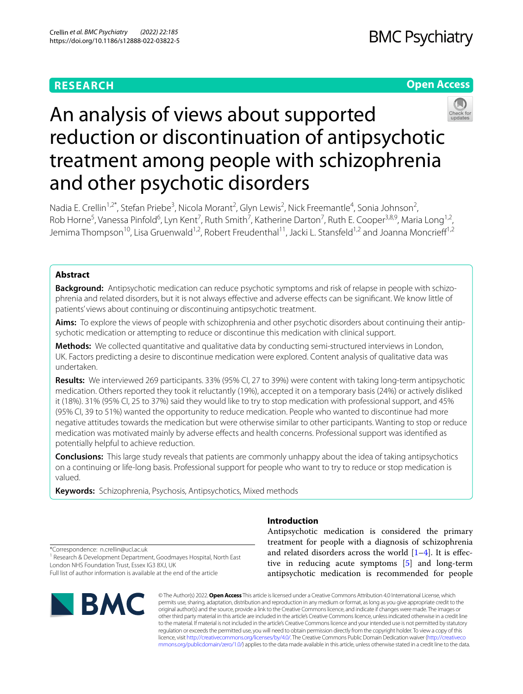# **RESEARCH**

## **Open Access**



# An analysis of views about supported reduction or discontinuation of antipsychotic treatment among people with schizophrenia and other psychotic disorders

Nadia E. Crellin<sup>1,2\*</sup>, Stefan Priebe<sup>3</sup>, Nicola Morant<sup>2</sup>, Glyn Lewis<sup>2</sup>, Nick Freemantle<sup>4</sup>, Sonia Johnson<sup>2</sup>, Rob Horne<sup>5</sup>, Vanessa Pinfold<sup>6</sup>, Lyn Kent<sup>7</sup>, Ruth Smith<sup>7</sup>, Katherine Darton<sup>7</sup>, Ruth E. Cooper<sup>3,8,9</sup>, Maria Long<sup>1,2</sup>, Jemima Thompson<sup>10</sup>, Lisa Gruenwald<sup>1,2</sup>, Robert Freudenthal<sup>11</sup>, Jacki L. Stansfeld<sup>1,2</sup> and Joanna Moncrieff<sup>1,2</sup>

## **Abstract**

**Background:** Antipsychotic medication can reduce psychotic symptoms and risk of relapse in people with schizophrenia and related disorders, but it is not always efective and adverse efects can be signifcant. We know little of patients' views about continuing or discontinuing antipsychotic treatment.

**Aims:** To explore the views of people with schizophrenia and other psychotic disorders about continuing their antipsychotic medication or attempting to reduce or discontinue this medication with clinical support.

**Methods:** We collected quantitative and qualitative data by conducting semi-structured interviews in London, UK. Factors predicting a desire to discontinue medication were explored. Content analysis of qualitative data was undertaken.

**Results:** We interviewed 269 participants. 33% (95% CI, 27 to 39%) were content with taking long-term antipsychotic medication. Others reported they took it reluctantly (19%), accepted it on a temporary basis (24%) or actively disliked it (18%). 31% (95% CI, 25 to 37%) said they would like to try to stop medication with professional support, and 45% (95% CI, 39 to 51%) wanted the opportunity to reduce medication. People who wanted to discontinue had more negative attitudes towards the medication but were otherwise similar to other participants. Wanting to stop or reduce medication was motivated mainly by adverse effects and health concerns. Professional support was identified as potentially helpful to achieve reduction.

**Conclusions:** This large study reveals that patients are commonly unhappy about the idea of taking antipsychotics on a continuing or life-long basis. Professional support for people who want to try to reduce or stop medication is valued.

**Keywords:** Schizophrenia, Psychosis, Antipsychotics, Mixed methods

Antipsychotic medication is considered the primary treatment for people with a diagnosis of schizophrenia and related disorders across the world  $[1-4]$  $[1-4]$ . It is effective in reducing acute symptoms [[5\]](#page-8-2) and long-term antipsychotic medication is recommended for people

\*Correspondence: n.crellin@ucl.ac.uk

<sup>1</sup> Research & Development Department, Goodmayes Hospital, North East London NHS Foundation Trust, Essex IG3 8XJ, UK

Full list of author information is available at the end of the article



© The Author(s) 2022. **Open Access** This article is licensed under a Creative Commons Attribution 4.0 International License, which permits use, sharing, adaptation, distribution and reproduction in any medium or format, as long as you give appropriate credit to the original author(s) and the source, provide a link to the Creative Commons licence, and indicate if changes were made. The images or other third party material in this article are included in the article's Creative Commons licence, unless indicated otherwise in a credit line to the material. If material is not included in the article's Creative Commons licence and your intended use is not permitted by statutory regulation or exceeds the permitted use, you will need to obtain permission directly from the copyright holder. To view a copy of this licence, visit [http://creativecommons.org/licenses/by/4.0/.](http://creativecommons.org/licenses/by/4.0/) The Creative Commons Public Domain Dedication waiver ([http://creativeco](http://creativecommons.org/publicdomain/zero/1.0/) [mmons.org/publicdomain/zero/1.0/](http://creativecommons.org/publicdomain/zero/1.0/)) applies to the data made available in this article, unless otherwise stated in a credit line to the data.

# **Introduction**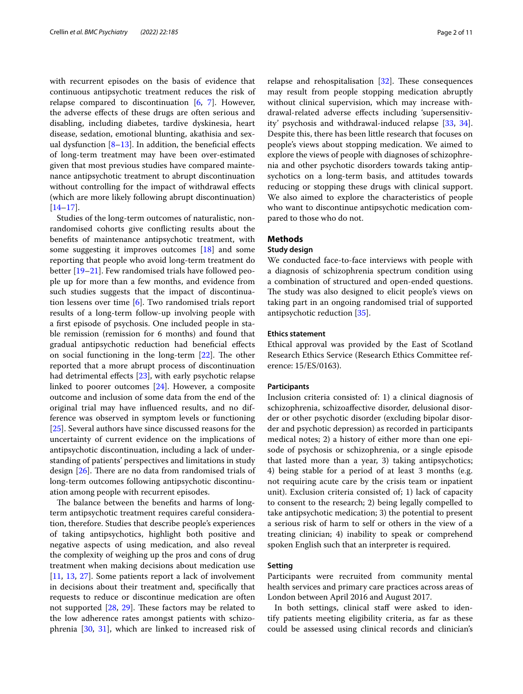with recurrent episodes on the basis of evidence that continuous antipsychotic treatment reduces the risk of relapse compared to discontinuation  $[6, 7]$  $[6, 7]$  $[6, 7]$  $[6, 7]$  $[6, 7]$ . However, the adverse efects of these drugs are often serious and disabling, including diabetes, tardive dyskinesia, heart disease, sedation, emotional blunting, akathisia and sexual dysfunction  $[8-13]$  $[8-13]$ . In addition, the beneficial effects of long-term treatment may have been over-estimated given that most previous studies have compared maintenance antipsychotic treatment to abrupt discontinuation without controlling for the impact of withdrawal efects (which are more likely following abrupt discontinuation)  $[14–17]$  $[14–17]$  $[14–17]$  $[14–17]$ .

Studies of the long-term outcomes of naturalistic, nonrandomised cohorts give conficting results about the benefts of maintenance antipsychotic treatment, with some suggesting it improves outcomes [\[18](#page-9-3)] and some reporting that people who avoid long-term treatment do better [[19–](#page-9-4)[21](#page-9-5)]. Few randomised trials have followed people up for more than a few months, and evidence from such studies suggests that the impact of discontinuation lessens over time [\[6](#page-8-3)]. Two randomised trials report results of a long-term follow-up involving people with a frst episode of psychosis. One included people in stable remission (remission for 6 months) and found that gradual antipsychotic reduction had benefcial efects on social functioning in the long-term  $[22]$  $[22]$ . The other reported that a more abrupt process of discontinuation had detrimental effects [\[23\]](#page-9-7), with early psychotic relapse linked to poorer outcomes [[24](#page-9-8)]. However, a composite outcome and inclusion of some data from the end of the original trial may have infuenced results, and no difference was observed in symptom levels or functioning [[25\]](#page-9-9). Several authors have since discussed reasons for the uncertainty of current evidence on the implications of antipsychotic discontinuation, including a lack of understanding of patients' perspectives and limitations in study design  $[26]$  $[26]$ . There are no data from randomised trials of long-term outcomes following antipsychotic discontinuation among people with recurrent episodes.

The balance between the benefits and harms of longterm antipsychotic treatment requires careful consideration, therefore. Studies that describe people's experiences of taking antipsychotics, highlight both positive and negative aspects of using medication, and also reveal the complexity of weighing up the pros and cons of drug treatment when making decisions about medication use [[11,](#page-9-11) [13](#page-9-0), [27\]](#page-9-12). Some patients report a lack of involvement in decisions about their treatment and, specifcally that requests to reduce or discontinue medication are often not supported  $[28, 29]$  $[28, 29]$  $[28, 29]$  $[28, 29]$  $[28, 29]$ . These factors may be related to the low adherence rates amongst patients with schizophrenia [[30](#page-9-15), [31\]](#page-9-16), which are linked to increased risk of relapse and rehospitalisation  $[32]$  $[32]$ . These consequences may result from people stopping medication abruptly without clinical supervision, which may increase withdrawal-related adverse efects including 'supersensitivity' psychosis and withdrawal-induced relapse [[33,](#page-9-18) [34](#page-9-19)]. Despite this, there has been little research that focuses on people's views about stopping medication. We aimed to explore the views of people with diagnoses of schizophrenia and other psychotic disorders towards taking antipsychotics on a long-term basis, and attitudes towards reducing or stopping these drugs with clinical support. We also aimed to explore the characteristics of people who want to discontinue antipsychotic medication compared to those who do not.

## **Methods**

## **Study design**

We conducted face-to-face interviews with people with a diagnosis of schizophrenia spectrum condition using a combination of structured and open-ended questions. The study was also designed to elicit people's views on taking part in an ongoing randomised trial of supported antipsychotic reduction [\[35\]](#page-9-20).

## **Ethics statement**

Ethical approval was provided by the East of Scotland Research Ethics Service (Research Ethics Committee reference: 15/ES/0163).

#### **Participants**

Inclusion criteria consisted of: 1) a clinical diagnosis of schizophrenia, schizoafective disorder, delusional disorder or other psychotic disorder (excluding bipolar disorder and psychotic depression) as recorded in participants medical notes; 2) a history of either more than one episode of psychosis or schizophrenia, or a single episode that lasted more than a year, 3) taking antipsychotics; 4) being stable for a period of at least 3 months (e.g. not requiring acute care by the crisis team or inpatient unit). Exclusion criteria consisted of; 1) lack of capacity to consent to the research; 2) being legally compelled to take antipsychotic medication; 3) the potential to present a serious risk of harm to self or others in the view of a treating clinician; 4) inability to speak or comprehend spoken English such that an interpreter is required.

## **Setting**

Participants were recruited from community mental health services and primary care practices across areas of London between April 2016 and August 2017.

In both settings, clinical staff were asked to identify patients meeting eligibility criteria, as far as these could be assessed using clinical records and clinician's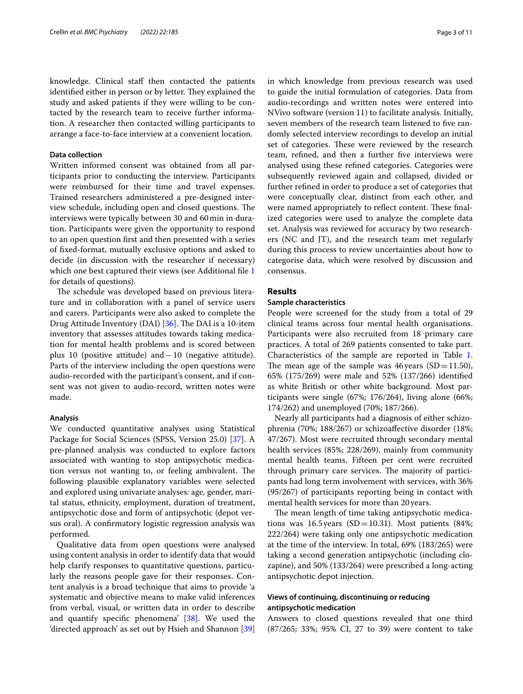knowledge. Clinical staff then contacted the patients identified either in person or by letter. They explained the study and asked patients if they were willing to be contacted by the research team to receive further information. A researcher then contacted willing participants to arrange a face-to-face interview at a convenient location.

## **Data collection**

Written informed consent was obtained from all participants prior to conducting the interview. Participants were reimbursed for their time and travel expenses. Trained researchers administered a pre-designed interview schedule, including open and closed questions. The interviews were typically between 30 and 60min in duration. Participants were given the opportunity to respond to an open question frst and then presented with a series of fxed-format, mutually exclusive options and asked to decide (in discussion with the researcher if necessary) which one best captured their views (see Additional file [1](#page-8-6) for details of questions).

The schedule was developed based on previous literature and in collaboration with a panel of service users and carers. Participants were also asked to complete the Drug Attitude Inventory (DAI) [\[36\]](#page-9-21). The DAI is a 10-item inventory that assesses attitudes towards taking medication for mental health problems and is scored between plus 10 (positive attitude) and−10 (negative attitude). Parts of the interview including the open questions were audio-recorded with the participant's consent, and if consent was not given to audio-record, written notes were made.

### **Analysis**

We conducted quantitative analyses using Statistical Package for Social Sciences (SPSS, Version 25.0) [\[37\]](#page-9-22). A pre-planned analysis was conducted to explore factors associated with wanting to stop antipsychotic medication versus not wanting to, or feeling ambivalent. The following plausible explanatory variables were selected and explored using univariate analyses: age, gender, marital status, ethnicity, employment, duration of treatment, antipsychotic dose and form of antipsychotic (depot versus oral). A confrmatory logistic regression analysis was performed.

Qualitative data from open questions were analysed using content analysis in order to identify data that would help clarify responses to quantitative questions, particularly the reasons people gave for their responses. Content analysis is a broad technique that aims to provide 'a systematic and objective means to make valid inferences from verbal, visual, or written data in order to describe and quantify specifc phenomena' [\[38](#page-9-23)]. We used the 'directed approach' as set out by Hsieh and Shannon [[39](#page-9-24)] in which knowledge from previous research was used to guide the initial formulation of categories. Data from audio-recordings and written notes were entered into NVivo software (version 11) to facilitate analysis. Initially, seven members of the research team listened to fve randomly selected interview recordings to develop an initial set of categories. These were reviewed by the research team, refned, and then a further fve interviews were analysed using these refned categories. Categories were subsequently reviewed again and collapsed, divided or further refned in order to produce a set of categories that were conceptually clear, distinct from each other, and were named appropriately to reflect content. These finalized categories were used to analyze the complete data set. Analysis was reviewed for accuracy by two researchers (NC and JT), and the research team met regularly during this process to review uncertainties about how to categorise data, which were resolved by discussion and consensus.

## **Results**

## **Sample characteristics**

People were screened for the study from a total of 29 clinical teams across four mental health organisations. Participants were also recruited from 18 primary care practices. A total of 269 patients consented to take part. Characteristics of the sample are reported in Table [1](#page-3-0). The mean age of the sample was 46 years  $(SD=11.50)$ , 65% (175/269) were male and 52% (137/266) identifed as white British or other white background. Most participants were single (67%; 176/264), living alone (66%; 174/262) and unemployed (70%; 187/266).

Nearly all participants had a diagnosis of either schizophrenia (70%; 188/267) or schizoafective disorder (18%; 47/267). Most were recruited through secondary mental health services (85%; 228/269), mainly from community mental health teams. Fifteen per cent were recruited through primary care services. The majority of participants had long term involvement with services, with 36% (95/267) of participants reporting being in contact with mental health services for more than 20years.

The mean length of time taking antipsychotic medications was 16.5 years (SD=10.31). Most patients (84%; 222/264) were taking only one antipsychotic medication at the time of the interview. In total, 69% (183/265) were taking a second generation antipsychotic (including clozapine), and 50% (133/264) were prescribed a long-acting antipsychotic depot injection.

## **Views of continuing, discontinuing or reducing antipsychotic medication**

Answers to closed questions revealed that one third (87/265; 33%; 95% CI, 27 to 39) were content to take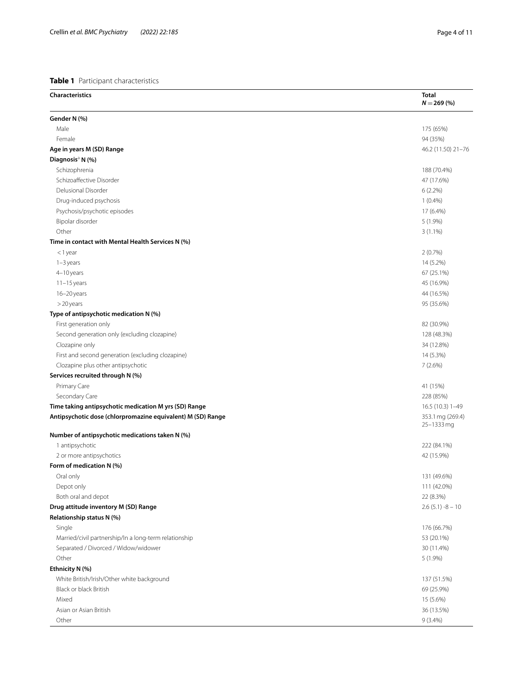#### <span id="page-3-0"></span>**Table 1** Participant characteristics

| <b>Characteristics</b>                                             | <b>Total</b><br>$N = 269$ (%) |
|--------------------------------------------------------------------|-------------------------------|
| Gender N (%)                                                       |                               |
| Male                                                               | 175 (65%)                     |
| Female                                                             | 94 (35%)                      |
| Age in years M (SD) Range                                          | 46.2 (11.50) 21-76            |
| Diagnosis <sup>a</sup> N (%)                                       |                               |
| Schizophrenia                                                      | 188 (70.4%)                   |
| Schizoaffective Disorder                                           | 47 (17.6%)                    |
| Delusional Disorder                                                | $6(2.2\%)$                    |
| Drug-induced psychosis                                             | $1(0.4\%)$                    |
| Psychosis/psychotic episodes                                       | 17 (6.4%)                     |
| Bipolar disorder                                                   | $5(1.9\%)$                    |
| Other                                                              | $3(1.1\%)$                    |
| Time in contact with Mental Health Services N (%)                  |                               |
| <1 year                                                            | 2(0.7%)                       |
| $1-3$ years                                                        | 14 (5.2%)                     |
| 4-10 years                                                         | 67 (25.1%)                    |
| $11-15$ years                                                      | 45 (16.9%)                    |
| 16-20 years                                                        | 44 (16.5%)                    |
| >20 years                                                          | 95 (35.6%)                    |
| Type of antipsychotic medication N (%)                             |                               |
| First generation only                                              | 82 (30.9%)                    |
| Second generation only (excluding clozapine)                       | 128 (48.3%)                   |
| Clozapine only                                                     | 34 (12.8%)                    |
| First and second generation (excluding clozapine)                  | 14 (5.3%)                     |
| Clozapine plus other antipsychotic                                 | 7(2.6%)                       |
| Services recruited through N (%)                                   |                               |
| Primary Care                                                       | 41 (15%)                      |
| Secondary Care                                                     | 228 (85%)                     |
| Time taking antipsychotic medication M yrs (SD) Range              | 16.5 (10.3) 1-49              |
| Antipsychotic dose (chlorpromazine equivalent) M (SD) Range        | 353.1 mg (269.4)              |
|                                                                    | 25-1333 mg                    |
| Number of antipsychotic medications taken N (%)<br>1 antipsychotic | 222 (84.1%)                   |
| 2 or more antipsychotics                                           | 42 (15.9%)                    |
| Form of medication N (%)                                           |                               |
|                                                                    |                               |
| Oral only<br>Depot only                                            | 131 (49.6%)                   |
| Both oral and depot                                                | 111 (42.0%)<br>22 (8.3%)      |
| Drug attitude inventory M (SD) Range                               | $2.6(5.1) - 8 - 10$           |
| Relationship status N (%)                                          |                               |
| Single                                                             |                               |
|                                                                    | 176 (66.7%)                   |
| Married/civil partnership/In a long-term relationship              | 53 (20.1%)                    |
| Separated / Divorced / Widow/widower<br>Other                      | 30 (11.4%)                    |
|                                                                    | 5 (1.9%)                      |
| Ethnicity N (%)                                                    |                               |
| White British/Irish/Other white background                         | 137 (51.5%)                   |
| Black or black British                                             | 69 (25.9%)                    |
| Mixed                                                              | 15 (5.6%)                     |
| Asian or Asian British                                             | 36 (13.5%)                    |
| Other                                                              | $9(3.4\%)$                    |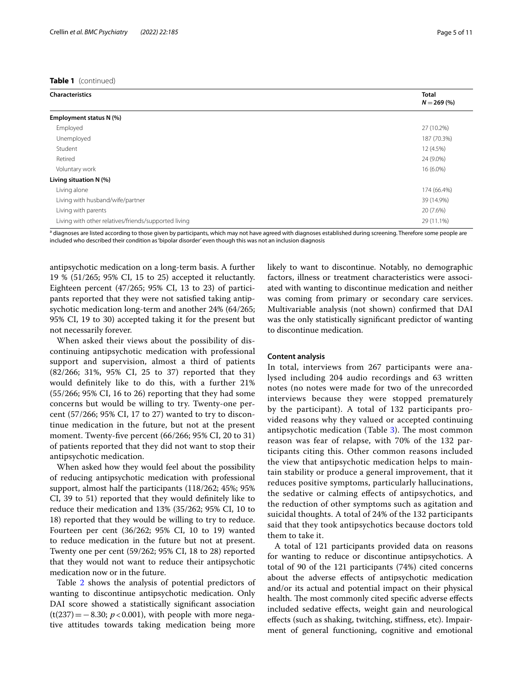#### **Table 1** (continued)

| <b>Characteristics</b>                               | <b>Total</b><br>$N = 269(%)$ |
|------------------------------------------------------|------------------------------|
|                                                      |                              |
| Employment status N (%)                              |                              |
| Employed                                             | 27 (10.2%)                   |
| Unemployed                                           | 187 (70.3%)                  |
| Student                                              | 12 (4.5%)                    |
| Retired                                              | 24 (9.0%)                    |
| Voluntary work                                       | 16 (6.0%)                    |
| Living situation N (%)                               |                              |
| Living alone                                         | 174 (66.4%)                  |
| Living with husband/wife/partner                     | 39 (14.9%)                   |
| Living with parents                                  | 20 (7.6%)                    |
| Living with other relatives/friends/supported living |                              |

<sup>a</sup> diagnoses are listed according to those given by participants, which may not have agreed with diagnoses established during screening. Therefore some people are included who described their condition as 'bipolar disorder' even though this was not an inclusion diagnosis

antipsychotic medication on a long-term basis. A further 19 % (51/265; 95% CI, 15 to 25) accepted it reluctantly. Eighteen percent (47/265; 95% CI, 13 to 23) of participants reported that they were not satisfed taking antipsychotic medication long-term and another 24% (64/265; 95% CI, 19 to 30) accepted taking it for the present but not necessarily forever.

When asked their views about the possibility of discontinuing antipsychotic medication with professional support and supervision, almost a third of patients (82/266; 31%, 95% CI, 25 to 37) reported that they would defnitely like to do this, with a further 21% (55/266; 95% CI, 16 to 26) reporting that they had some concerns but would be willing to try. Twenty-one percent (57/266; 95% CI, 17 to 27) wanted to try to discontinue medication in the future, but not at the present moment. Twenty-fve percent (66/266; 95% CI, 20 to 31) of patients reported that they did not want to stop their antipsychotic medication.

When asked how they would feel about the possibility of reducing antipsychotic medication with professional support, almost half the participants (118/262; 45%; 95% CI, 39 to 51) reported that they would defnitely like to reduce their medication and 13% (35/262; 95% CI, 10 to 18) reported that they would be willing to try to reduce. Fourteen per cent (36/262; 95% CI, 10 to 19) wanted to reduce medication in the future but not at present. Twenty one per cent (59/262; 95% CI, 18 to 28) reported that they would not want to reduce their antipsychotic medication now or in the future.

Table [2](#page-5-0) shows the analysis of potential predictors of wanting to discontinue antipsychotic medication. Only DAI score showed a statistically significant association (t(237)=−8.30; *p*<0.001), with people with more negative attitudes towards taking medication being more likely to want to discontinue. Notably, no demographic factors, illness or treatment characteristics were associated with wanting to discontinue medication and neither was coming from primary or secondary care services. Multivariable analysis (not shown) confrmed that DAI was the only statistically signifcant predictor of wanting to discontinue medication.

#### **Content analysis**

In total, interviews from 267 participants were analysed including 204 audio recordings and 63 written notes (no notes were made for two of the unrecorded interviews because they were stopped prematurely by the participant). A total of 132 participants provided reasons why they valued or accepted continuing antipsychotic medication (Table [3\)](#page-6-0). The most common reason was fear of relapse, with 70% of the 132 participants citing this. Other common reasons included the view that antipsychotic medication helps to maintain stability or produce a general improvement, that it reduces positive symptoms, particularly hallucinations, the sedative or calming efects of antipsychotics, and the reduction of other symptoms such as agitation and suicidal thoughts. A total of 24% of the 132 participants said that they took antipsychotics because doctors told them to take it.

A total of 121 participants provided data on reasons for wanting to reduce or discontinue antipsychotics. A total of 90 of the 121 participants (74%) cited concerns about the adverse efects of antipsychotic medication and/or its actual and potential impact on their physical health. The most commonly cited specific adverse effects included sedative efects, weight gain and neurological efects (such as shaking, twitching, stifness, etc). Impairment of general functioning, cognitive and emotional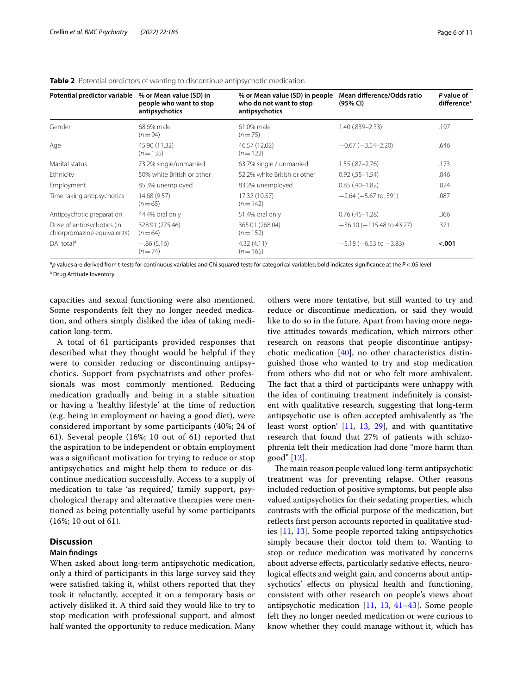| Potential predictor variable                              | % or Mean value (SD) in<br>people who want to stop<br>antipsychotics | % or Mean value (SD) in people<br>who do not want to stop<br>antipsychotics | Mean difference/Odds ratio<br>(95% CI) | P value of<br>difference* |
|-----------------------------------------------------------|----------------------------------------------------------------------|-----------------------------------------------------------------------------|----------------------------------------|---------------------------|
| Gender                                                    | 68.6% male<br>$(n=94)$                                               | 61.0% male<br>$(n=75)$                                                      | 1.40 (.839 - 2.33)                     |                           |
| Age                                                       | 45.90 (11.32)<br>$(n=135)$                                           | 46.57 (12.02)<br>$(n=122)$                                                  | $-0.67(-3.54-2.20)$                    | .646                      |
| Marital status                                            | 73.2% single/unmarried                                               | 63.7% single / unmarried                                                    | $1.55(.87 - 2.76)$                     | .173                      |
| Ethnicity                                                 | 50% white British or other                                           | 52.2% white British or other                                                | $0.92$ (.55-1.54)                      | .846                      |
| Employment                                                | 85.3% unemployed                                                     | 83.2% unemployed                                                            | $0.85(.40-1.82)$                       | .824                      |
| Time taking antipsychotics                                | 14.68 (9.57)<br>$(n=65)$                                             | 17.32 (10.57)<br>$(n=142)$                                                  | $-2.64$ ( $-5.67$ to .391)             | .087                      |
| Antipsychotic preparation                                 | 44.4% oral only                                                      | 51.4% oral only                                                             | $0.76(.45 - 1.28)$                     | .366                      |
| Dose of antipsychotics (in<br>chlorpromazine equivalents) | 328.91 (275.46)<br>$(n=64)$                                          | 365.01 (268.04)<br>$(n=152)$                                                | $-36.10$ ( $-115.48$ to 43.27)         | .371                      |
| DAI total <sup>a</sup>                                    | $-.86(5.16)$<br>$(n=74)$                                             | 4.32(4.11)<br>$(n=165)$                                                     | $-5.18 (-6.53$ to $-3.83)$             | < .001                    |

<span id="page-5-0"></span>**Table 2** Potential predictors of wanting to discontinue antipsychotic medication

\**p* values are derived from t-tests for continuous variables and Chi squared tests for categorical variables; bold indicates signifcance at the *P*<.05 level <sup>a</sup> Drug Attitude Inventory

capacities and sexual functioning were also mentioned. Some respondents felt they no longer needed medication, and others simply disliked the idea of taking medication long-term.

A total of 61 participants provided responses that described what they thought would be helpful if they were to consider reducing or discontinuing antipsychotics. Support from psychiatrists and other professionals was most commonly mentioned. Reducing medication gradually and being in a stable situation or having a 'healthy lifestyle' at the time of reduction (e.g. being in employment or having a good diet), were considered important by some participants (40%; 24 of 61). Several people (16%; 10 out of 61) reported that the aspiration to be independent or obtain employment was a signifcant motivation for trying to reduce or stop antipsychotics and might help them to reduce or discontinue medication successfully. Access to a supply of medication to take 'as required,' family support, psychological therapy and alternative therapies were mentioned as being potentially useful by some participants (16%; 10 out of 61).

## **Discussion**

#### **Main fndings**

When asked about long-term antipsychotic medication, only a third of participants in this large survey said they were satisfed taking it, whilst others reported that they took it reluctantly, accepted it on a temporary basis or actively disliked it. A third said they would like to try to stop medication with professional support, and almost half wanted the opportunity to reduce medication. Many others were more tentative, but still wanted to try and reduce or discontinue medication, or said they would like to do so in the future. Apart from having more negative attitudes towards medication, which mirrors other research on reasons that people discontinue antipsychotic medication [[40\]](#page-9-25), no other characteristics distinguished those who wanted to try and stop medication from others who did not or who felt more ambivalent. The fact that a third of participants were unhappy with the idea of continuing treatment indefnitely is consistent with qualitative research, suggesting that long-term antipsychotic use is often accepted ambivalently as 'the least worst option' [[11](#page-9-11), [13](#page-9-0), [29](#page-9-14)], and with quantitative research that found that 27% of patients with schizophrenia felt their medication had done "more harm than good" [\[12](#page-9-26)].

The main reason people valued long-term antipsychotic treatment was for preventing relapse. Other reasons included reduction of positive symptoms, but people also valued antipsychotics for their sedating properties, which contrasts with the official purpose of the medication, but reflects first person accounts reported in qualitative studies [\[11,](#page-9-11) [13](#page-9-0)]. Some people reported taking antipsychotics simply because their doctor told them to. Wanting to stop or reduce medication was motivated by concerns about adverse efects, particularly sedative efects, neurological effects and weight gain, and concerns about antipsychotics' effects on physical health and functioning, consistent with other research on people's views about antipsychotic medication [[11,](#page-9-11) [13,](#page-9-0) [41–](#page-9-27)[43\]](#page-9-28). Some people felt they no longer needed medication or were curious to know whether they could manage without it, which has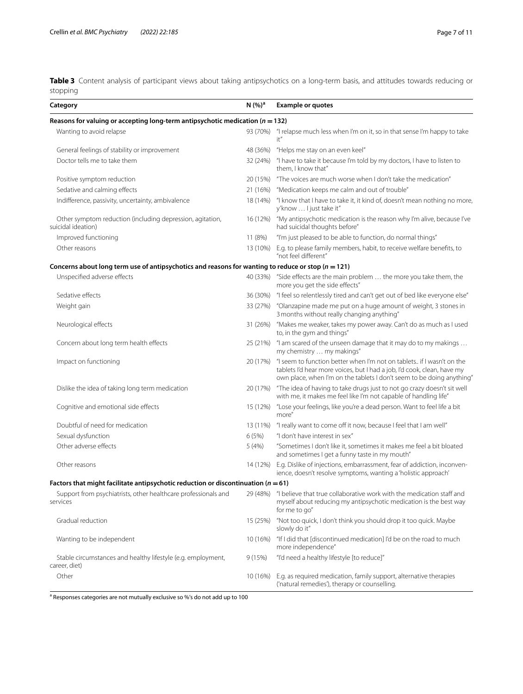<span id="page-6-0"></span>**Table 3** Content analysis of participant views about taking antipsychotics on a long-term basis, and attitudes towards reducing or stopping

| Category                                                                                               | N(%) <sup>a</sup> | <b>Example or quotes</b>                                                                                                                                                                                                  |
|--------------------------------------------------------------------------------------------------------|-------------------|---------------------------------------------------------------------------------------------------------------------------------------------------------------------------------------------------------------------------|
| Reasons for valuing or accepting long-term antipsychotic medication ( $n = 132$ )                      |                   |                                                                                                                                                                                                                           |
| Wanting to avoid relapse                                                                               |                   | 93 (70%) "I relapse much less when I'm on it, so in that sense I'm happy to take<br>it"                                                                                                                                   |
| General feelings of stability or improvement                                                           | 48 (36%)          | "Helps me stay on an even keel"                                                                                                                                                                                           |
| Doctor tells me to take them                                                                           | 32 (24%)          | "I have to take it because I'm told by my doctors, I have to listen to<br>them. I know that"                                                                                                                              |
| Positive symptom reduction                                                                             | 20 (15%)          | "The voices are much worse when I don't take the medication"                                                                                                                                                              |
| Sedative and calming effects                                                                           | 21 (16%)          | "Medication keeps me calm and out of trouble"                                                                                                                                                                             |
| Indifference, passivity, uncertainty, ambivalence                                                      | 18 (14%)          | "I know that I have to take it, it kind of, doesn't mean nothing no more,<br>y'know  I just take it"                                                                                                                      |
| Other symptom reduction (including depression, agitation,<br>suicidal ideation)                        | 16 (12%)          | "My antipsychotic medication is the reason why I'm alive, because I've<br>had suicidal thoughts before"                                                                                                                   |
| Improved functioning                                                                                   | 11 (8%)           | "I'm just pleased to be able to function, do normal things"                                                                                                                                                               |
| Other reasons                                                                                          |                   | 13 (10%) E.g. to please family members, habit, to receive welfare benefits, to<br>"not feel different"                                                                                                                    |
| Concerns about long term use of antipsychotics and reasons for wanting to reduce or stop ( $n = 121$ ) |                   |                                                                                                                                                                                                                           |
| Unspecified adverse effects                                                                            |                   | 40 (33%) "Side effects are the main problem  the more you take them, the<br>more you get the side effects"                                                                                                                |
| Sedative effects                                                                                       | 36 (30%)          | "I feel so relentlessly tired and can't get out of bed like everyone else"                                                                                                                                                |
| Weight gain                                                                                            |                   | 33 (27%) "Olanzapine made me put on a huge amount of weight, 3 stones in<br>3 months without really changing anything"                                                                                                    |
| Neurological effects                                                                                   | 31 (26%)          | "Makes me weaker, takes my power away. Can't do as much as I used<br>to, in the gym and things"                                                                                                                           |
| Concern about long term health effects                                                                 | 25 (21%)          | "I am scared of the unseen damage that it may do to my makings<br>my chemistry  my makings"                                                                                                                               |
| Impact on functioning                                                                                  | 20 (17%)          | "I seem to function better when I'm not on tablets if I wasn't on the<br>tablets I'd hear more voices, but I had a job, I'd cook, clean, have my<br>own place, when I'm on the tablets I don't seem to be doing anything" |
| Dislike the idea of taking long term medication                                                        | 20 (17%)          | "The idea of having to take drugs just to not go crazy doesn't sit well<br>with me, it makes me feel like I'm not capable of handling life"                                                                               |
| Cognitive and emotional side effects                                                                   | 15 (12%)          | "Lose your feelings, like you're a dead person. Want to feel life a bit<br>more"                                                                                                                                          |
| Doubtful of need for medication                                                                        | 13 (11%)          | "I really want to come off it now, because I feel that I am well"                                                                                                                                                         |
| Sexual dysfunction                                                                                     | 6(5%)             | "I don't have interest in sex"                                                                                                                                                                                            |
| Other adverse effects                                                                                  | 5(4%)             | "Sometimes I don't like it, sometimes it makes me feel a bit bloated<br>and sometimes I get a funny taste in my mouth"                                                                                                    |
| Other reasons                                                                                          | 14 (12%)          | E.g. Dislike of injections, embarrassment, fear of addiction, inconven-<br>ience, doesn't resolve symptoms, wanting a 'holistic approach'                                                                                 |
| Factors that might facilitate antipsychotic reduction or discontinuation ( $n = 61$ )                  |                   |                                                                                                                                                                                                                           |
| Support from psychiatrists, other healthcare professionals and<br>services                             |                   | 29 (48%) "I believe that true collaborative work with the medication staff and<br>myself about reducing my antipsychotic medication is the best way<br>for me to go"                                                      |
| Gradual reduction                                                                                      | 15 (25%)          | "Not too quick, I don't think you should drop it too quick. Maybe<br>slowly do it"                                                                                                                                        |
| Wanting to be independent                                                                              | 10 (16%)          | "If I did that [discontinued medication] I'd be on the road to much<br>more independence"                                                                                                                                 |
| Stable circumstances and healthy lifestyle (e.g. employment,<br>career, diet)                          | 9(15%)            | "I'd need a healthy lifestyle [to reduce]"                                                                                                                                                                                |
| Other                                                                                                  | 10 (16%)          | E.g. as required medication, family support, alternative therapies<br>('natural remedies'), therapy or counselling.                                                                                                       |

<sup>a</sup> Responses categories are not mutually exclusive so %'s do not add up to 100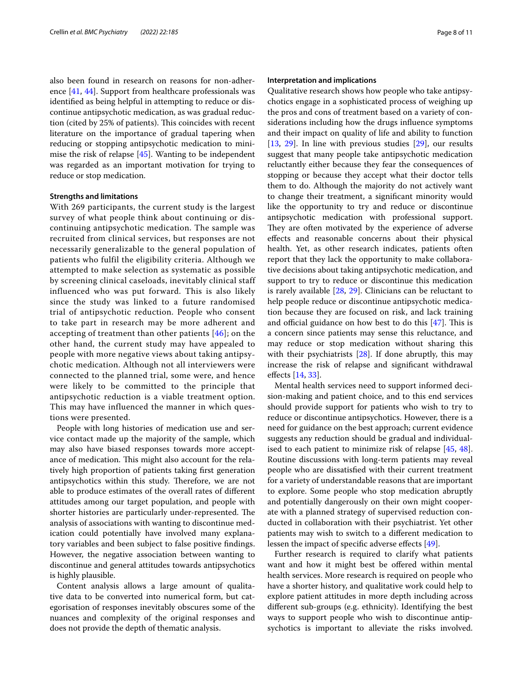also been found in research on reasons for non-adherence [\[41](#page-9-27), [44](#page-9-29)]. Support from healthcare professionals was identifed as being helpful in attempting to reduce or discontinue antipsychotic medication, as was gradual reduction (cited by 25% of patients). This coincides with recent literature on the importance of gradual tapering when reducing or stopping antipsychotic medication to minimise the risk of relapse [[45\]](#page-9-30). Wanting to be independent was regarded as an important motivation for trying to reduce or stop medication.

## **Strengths and limitations**

With 269 participants, the current study is the largest survey of what people think about continuing or discontinuing antipsychotic medication. The sample was recruited from clinical services, but responses are not necessarily generalizable to the general population of patients who fulfil the eligibility criteria. Although we attempted to make selection as systematic as possible by screening clinical caseloads, inevitably clinical staff influenced who was put forward. This is also likely since the study was linked to a future randomised trial of antipsychotic reduction. People who consent to take part in research may be more adherent and accepting of treatment than other patients [[46](#page-10-0)]; on the other hand, the current study may have appealed to people with more negative views about taking antipsychotic medication. Although not all interviewers were connected to the planned trial, some were, and hence were likely to be committed to the principle that antipsychotic reduction is a viable treatment option. This may have influenced the manner in which questions were presented.

People with long histories of medication use and service contact made up the majority of the sample, which may also have biased responses towards more acceptance of medication. This might also account for the relatively high proportion of patients taking frst generation antipsychotics within this study. Therefore, we are not able to produce estimates of the overall rates of diferent attitudes among our target population, and people with shorter histories are particularly under-represented. The analysis of associations with wanting to discontinue medication could potentially have involved many explanatory variables and been subject to false positive fndings. However, the negative association between wanting to discontinue and general attitudes towards antipsychotics is highly plausible.

Content analysis allows a large amount of qualitative data to be converted into numerical form, but categorisation of responses inevitably obscures some of the nuances and complexity of the original responses and does not provide the depth of thematic analysis.

#### **Interpretation and implications**

Qualitative research shows how people who take antipsychotics engage in a sophisticated process of weighing up the pros and cons of treatment based on a variety of considerations including how the drugs infuence symptoms and their impact on quality of life and ability to function [[13,](#page-9-0) [29](#page-9-14)]. In line with previous studies [[29](#page-9-14)], our results suggest that many people take antipsychotic medication reluctantly either because they fear the consequences of stopping or because they accept what their doctor tells them to do. Although the majority do not actively want to change their treatment, a signifcant minority would like the opportunity to try and reduce or discontinue antipsychotic medication with professional support. They are often motivated by the experience of adverse efects and reasonable concerns about their physical health. Yet, as other research indicates, patients often report that they lack the opportunity to make collaborative decisions about taking antipsychotic medication, and support to try to reduce or discontinue this medication is rarely available [\[28](#page-9-13), [29](#page-9-14)]. Clinicians can be reluctant to help people reduce or discontinue antipsychotic medication because they are focused on risk, and lack training and official guidance on how best to do this  $[47]$  $[47]$ . This is a concern since patients may sense this reluctance, and may reduce or stop medication without sharing this with their psychiatrists  $[28]$  $[28]$ . If done abruptly, this may increase the risk of relapse and signifcant withdrawal efects [[14](#page-9-1), [33\]](#page-9-18).

Mental health services need to support informed decision-making and patient choice, and to this end services should provide support for patients who wish to try to reduce or discontinue antipsychotics. However, there is a need for guidance on the best approach; current evidence suggests any reduction should be gradual and individualised to each patient to minimize risk of relapse [\[45,](#page-9-30) [48](#page-10-2)]. Routine discussions with long-term patients may reveal people who are dissatisfed with their current treatment for a variety of understandable reasons that are important to explore. Some people who stop medication abruptly and potentially dangerously on their own might cooperate with a planned strategy of supervised reduction conducted in collaboration with their psychiatrist. Yet other patients may wish to switch to a diferent medication to lessen the impact of specific adverse effects [\[49\]](#page-10-3).

Further research is required to clarify what patients want and how it might best be offered within mental health services. More research is required on people who have a shorter history, and qualitative work could help to explore patient attitudes in more depth including across diferent sub-groups (e.g. ethnicity). Identifying the best ways to support people who wish to discontinue antipsychotics is important to alleviate the risks involved.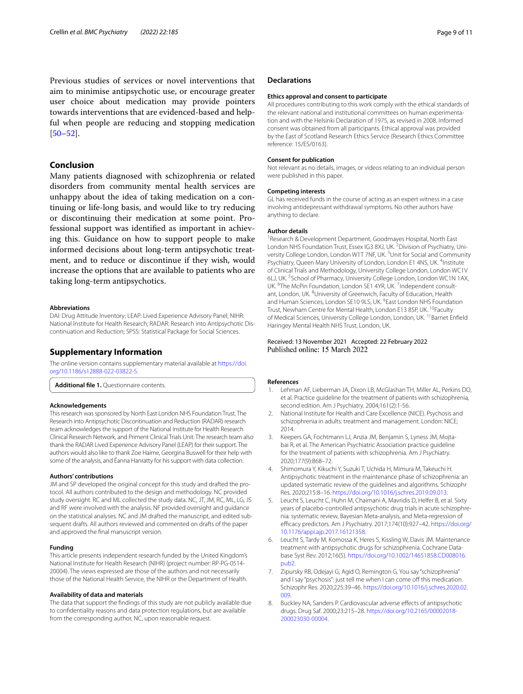Previous studies of services or novel interventions that aim to minimise antipsychotic use, or encourage greater user choice about medication may provide pointers towards interventions that are evidenced-based and helpful when people are reducing and stopping medication  $[50-52]$  $[50-52]$  $[50-52]$ .

## **Conclusion**

Many patients diagnosed with schizophrenia or related disorders from community mental health services are unhappy about the idea of taking medication on a continuing or life-long basis, and would like to try reducing or discontinuing their medication at some point. Professional support was identifed as important in achieving this. Guidance on how to support people to make informed decisions about long-term antipsychotic treatment, and to reduce or discontinue if they wish, would increase the options that are available to patients who are taking long-term antipsychotics.

#### **Abbreviations**

DAI: Drug Attitude Inventory; LEAP: Lived Experience Advisory Panel; NIHR: National Institute for Health Research; RADAR: Research into Antipsychotic Discontinuation and Reduction; SPSS: Statistical Package for Social Sciences.

#### **Supplementary Information**

The online version contains supplementary material available at [https://doi.](https://doi.org/10.1186/s12888-022-03822-5) [org/10.1186/s12888-022-03822-5](https://doi.org/10.1186/s12888-022-03822-5).

<span id="page-8-6"></span>**Additional fle 1.** Questionnaire contents.

#### **Acknowledgements**

This research was sponsored by North East London NHS Foundation Trust. The Research into Antipsychotic Discontinuation and Reduction (RADAR) research team acknowledges the support of the National Institute for Health Research Clinical Research Network, and Priment Clinical Trials Unit. The research team also thank the RADAR Lived Experience Advisory Panel (LEAP) for their support. The authors would also like to thank Zoe Haime, Georgina Buswell for their help with some of the analysis, and Éanna Hanratty for his support with data collection.

#### **Authors' contributions**

JM and SP developed the original concept for this study and drafted the protocol. All authors contributed to the design and methodology. NC provided study oversight. RC and ML collected the study data. NC, JT, JM, RC, ML, LG, JS and RF were involved with the analysis. NF provided oversight and guidance on the statistical analyses. NC and JM drafted the manuscript, and edited subsequent drafts. All authors reviewed and commented on drafts of the paper and approved the fnal manuscript version.

#### **Funding**

This article presents independent research funded by the United Kingdom's National Institute for Health Research (NIHR) (project number: RP-PG-0514- 20004). The views expressed are those of the authors and not necessarily those of the National Health Service, the NIHR or the Department of Health.

#### **Availability of data and materials**

The data that support the fndings of this study are not publicly available due to confdentiality reasons and data protection regulations, but are available from the corresponding author, NC, upon reasonable request.

#### **Declarations**

#### **Ethics approval and consent to participate**

All procedures contributing to this work comply with the ethical standards of the relevant national and institutional committees on human experimentation and with the Helsinki Declaration of 1975, as revised in 2008. Informed consent was obtained from all participants. Ethical approval was provided by the East of Scotland Research Ethics Service (Research Ethics Committee reference: 15/ES/0163).

#### **Consent for publication**

Not relevant as no details, images, or videos relating to an individual person were published in this paper.

#### **Competing interests**

GL has received funds in the course of acting as an expert witness in a case involving antidepressant withdrawal symptoms. No other authors have anything to declare.

#### **Author details**

<sup>1</sup> Research & Development Department, Goodmayes Hospital, North East London NHS Foundation Trust, Essex IG3 8XJ, UK.<sup>2</sup> Division of Psychiatry, University College London, London W1T 7NF, UK.<sup>3</sup> Unit for Social and Community Psychiatry, Queen Mary University of London, London E1 4NS, UK. <sup>4</sup>Institute of Clinical Trials and Methodology, University College London, London WC1V 6LJ, UK.<sup>5</sup> School of Pharmacy, University College London, London WC1N 1AX, UK. <sup>6</sup>The McPin Foundation, London SE1 4YR, UK. <sup>7</sup>Independent consultant, London, UK. <sup>8</sup>University of Greenwich, Faculty of Education, Health and Human Sciences, London SE10 9LS, UK. <sup>9</sup> East London NHS Foundation Trust, Newham Centre for Mental Health, London E13 8SP, UK. <sup>10</sup>Faculty of Medical Sciences, University College London, London, UK.<sup>11</sup>Barnet Enfield Haringey Mental Health NHS Trust, London, UK.

#### Received: 13 November 2021 Accepted: 22 February 2022 Published online: 15 March 2022

#### **References**

- <span id="page-8-0"></span>1. Lehman AF, Lieberman JA, Dixon LB, McGlashan TH, Miller AL, Perkins DO, et al. Practice guideline for the treatment of patients with schizophrenia, second edition. Am J Psychiatry. 2004;161(2):1-56.
- 2. National Institute for Health and Care Excellence (NICE). Psychosis and schizophrenia in adults: treatment and management. London: NICE; 2014.
- 3. Keepers GA, Fochtmann LJ, Anzia JM, Benjamin S, Lyness JM, Mojtabai R, et al. The American Psychiatric Association practice guideline for the treatment of patients with schizophrenia. Am J Psychiatry. 2020;177(9):868–72.
- <span id="page-8-1"></span>4. Shimomura Y, Kikuchi Y, Suzuki T, Uchida H, Mimura M, Takeuchi H. Antipsychotic treatment in the maintenance phase of schizophrenia: an updated systematic review of the guidelines and algorithms. Schizophr Res. 2020;215:8–16. [https://doi.org/10.1016/j.schres.2019.09.013.](https://doi.org/10.1016/j.schres.2019.09.013)
- <span id="page-8-2"></span>5. Leucht S, Leucht C, Huhn M, Chaimani A, Mavridis D, Helfer B, et al. Sixty years of placebo-controlled antipsychotic drug trials in acute schizophrenia: systematic review, Bayesian Meta-analysis, and Meta-regression of efficacy predictors. Am J Psychiatry. 2017;174(10):927-42. [https://doi.org/](https://doi.org/10.1176/appi.ajp.2017.16121358) [10.1176/appi.ajp.2017.16121358.](https://doi.org/10.1176/appi.ajp.2017.16121358)
- <span id="page-8-3"></span>6. Leucht S, Tardy M, Komossa K, Heres S, Kissling W, Davis JM. Maintenance treatment with antipsychotic drugs for schizophrenia. Cochrane Database Syst Rev. 2012;16(5). [https://doi.org/10.1002/14651858.CD008016.](https://doi.org/10.1002/14651858.CD008016.pub2) [pub2.](https://doi.org/10.1002/14651858.CD008016.pub2)
- <span id="page-8-4"></span>7. Zipursky RB, Odejayi G, Agid O, Remington G. You say "schizophrenia" and I say "psychosis": just tell me when I can come off this medication. Schizophr Res. 2020;225:39–46. [https://doi.org/10.1016/j.schres.2020.02.](https://doi.org/10.1016/j.schres.2020.02.009) [009.](https://doi.org/10.1016/j.schres.2020.02.009)
- <span id="page-8-5"></span>8. Buckley NA, Sanders P. Cardiovascular adverse effects of antipsychotic drugs. Drug Saf. 2000;23:215–28. [https://doi.org/10.2165/00002018-](https://doi.org/10.2165/00002018-200023030-00004) [200023030-00004](https://doi.org/10.2165/00002018-200023030-00004).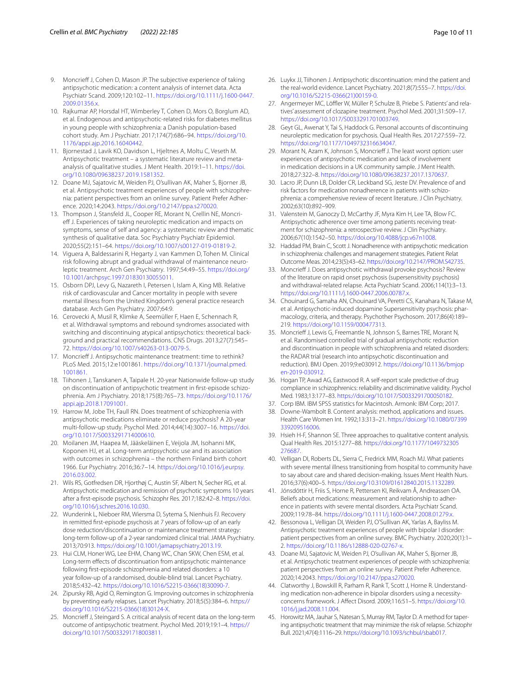- 9. Moncrieff J, Cohen D, Mason JP. The subjective experience of taking antipsychotic medication: a content analysis of internet data. Acta Psychiatr Scand. 2009;120:102–11. [https://doi.org/10.1111/j.1600-0447.](https://doi.org/10.1111/j.1600-0447.2009.01356.x) [2009.01356.x.](https://doi.org/10.1111/j.1600-0447.2009.01356.x)
- 10. Rajkumar AP, Horsdal HT, Wimberley T, Cohen D, Mors O, Borglum AD, et al. Endogenous and antipsychotic-related risks for diabetes mellitus in young people with schizophrenia: a Danish population-based cohort study. Am J Psychiatr. 2017;174(7):686–94. [https://doi.org/10.](https://doi.org/10.1176/appi.ajp.2016.16040442) [1176/appi.ajp.2016.16040442.](https://doi.org/10.1176/appi.ajp.2016.16040442)
- <span id="page-9-11"></span>11. Bjornestad J, Lavik KO, Davidson L, Hjeltnes A, Moltu C, Veseth M. Antipsychotic treatment – a systematic literature review and metaanalysis of qualitative studies. J Ment Health. 2019:1–11. [https://doi.](https://doi.org/10.1080/09638237.2019.1581352) [org/10.1080/09638237.2019.1581352](https://doi.org/10.1080/09638237.2019.1581352).
- <span id="page-9-26"></span>12. Doane MJ, Sajatovic M, Weiden PJ, O'sullivan AK, Maher S, Bjorner JB, et al. Antipsychotic treatment experiences of people with schizophrenia: patient perspectives from an online survey. Patient Prefer Adherence. 2020;14:2043. [https://doi.org/10.2147/ppa.s270020.](https://doi.org/10.2147/ppa.s270020)
- <span id="page-9-0"></span>13. Thompson J, Stansfeld JL, Cooper RE, Morant N, Crellin NE, Moncrieff J. Experiences of taking neuroleptic medication and impacts on symptoms, sense of self and agency: a systematic review and thematic synthesis of qualitative data. Soc Psychiatry Psychiatr Epidemiol. 2020;55(2):151–64. [https://doi.org/10.1007/s00127-019-01819-2.](https://doi.org/10.1007/s00127-019-01819-2)
- <span id="page-9-1"></span>14. Viguera A, Baldessarini R, Hegarty J, van Kammen D, Tohen M. Clinical risk following abrupt and gradual withdrawal of maintenance neuroleptic treatment. Arch Gen Psychiatry. 1997;54:49–55. [https://doi.org/](https://doi.org/10.1001/archpsyc.1997.01830130055011) [10.1001/archpsyc.1997.01830130055011](https://doi.org/10.1001/archpsyc.1997.01830130055011).
- 15. Osborn DPJ, Levy G, Nazareth I, Petersen I, Islam A, King MB. Relative risk of cardiovascular and Cancer mortality in people with severe mental illness from the United Kingdom's general practice research database. Arch Gen Psychiatry. 2007;64:9.
- 16. Cerovecki A, Musil R, Klimke A, Seemüller F, Haen E, Schennach R, et al. Withdrawal symptoms and rebound syndromes associated with switching and discontinuing atypical antipsychotics: theoretical background and practical recommendations. CNS Drugs. 2013;27(7):545– 72. [https://doi.org/10.1007/s40263-013-0079-5.](https://doi.org/10.1007/s40263-013-0079-5)
- <span id="page-9-2"></span>17. Moncrieff J. Antipsychotic maintenance treatment: time to rethink? PLoS Med. 2015;12:e1001861. [https://doi.org/10.1371/journal.pmed.](https://doi.org/10.1371/journal.pmed.1001861) [1001861](https://doi.org/10.1371/journal.pmed.1001861).
- <span id="page-9-3"></span>18. Tiihonen J, Tanskanen A, Taipale H. 20-year Nationwide follow-up study on discontinuation of antipsychotic treatment in frst-episode schizophrenia. Am J Psychiatry. 2018;175(8):765–73. [https://doi.org/10.1176/](https://doi.org/10.1176/appi.ajp.2018.17091001) [appi.ajp.2018.17091001](https://doi.org/10.1176/appi.ajp.2018.17091001).
- <span id="page-9-4"></span>19. Harrow M, Jobe TH, Faull RN. Does treatment of schizophrenia with antipsychotic medications eliminate or reduce psychosis? A 20-year multi-follow-up study. Psychol Med. 2014;44(14):3007–16. [https://doi.](https://doi.org/10.1017/S0033291714000610) [org/10.1017/S0033291714000610.](https://doi.org/10.1017/S0033291714000610)
- 20. Moilanen JM, Haapea M, Jääskeläinen E, Veijola JM, Isohanni MK, Koponen HJ, et al. Long-term antipsychotic use and its association with outcomes in schizophrenia – the northern Finland birth cohort 1966. Eur Psychiatry. 2016;36:7–14. [https://doi.org/10.1016/j.eurpsy.](https://doi.org/10.1016/j.eurpsy.2016.03.002) [2016.03.002](https://doi.org/10.1016/j.eurpsy.2016.03.002).
- <span id="page-9-5"></span>21. Wils RS, Gotfredsen DR, Hjorthøj C, Austin SF, Albert N, Secher RG, et al. Antipsychotic medication and remission of psychotic symptoms 10 years after a frst-episode psychosis. Schizophr Res. 2017;182:42–8. [https://doi.](https://doi.org/10.1016/j.schres.2016.10.030) [org/10.1016/j.schres.2016.10.030.](https://doi.org/10.1016/j.schres.2016.10.030)
- <span id="page-9-6"></span>22. Wunderink L, Nieboer RM, Wiersma D, Sytema S, Nienhuis FJ. Recovery in remitted frst-episode psychosis at 7 years of follow-up of an early dose reduction/discontinuation or maintenance treatment strategy: long-term follow-up of a 2-year randomized clinical trial. JAMA Psychiatry. 2013;70:913.<https://doi.org/10.1001/jamapsychiatry.2013.19>.
- <span id="page-9-7"></span>23. Hui CLM, Honer WG, Lee EHM, Chang WC, Chan SKW, Chen ESM, et al. Long-term efects of discontinuation from antipsychotic maintenance following frst-episode schizophrenia and related disorders: a 10 year follow-up of a randomised, double-blind trial. Lancet Psychiatry. 2018;5:432–42. [https://doi.org/10.1016/S2215-0366\(18\)30090-7.](https://doi.org/10.1016/S2215-0366(18)30090-7)
- <span id="page-9-8"></span>24. Zipursky RB, Agid O, Remington G. Improving outcomes in schizophrenia by preventing early relapses. Lancet Psychiatry. 2018;5(5):384–6. [https://](https://doi.org/10.1016/S2215-0366(18)30124-X) [doi.org/10.1016/S2215-0366\(18\)30124-X](https://doi.org/10.1016/S2215-0366(18)30124-X).
- <span id="page-9-9"></span>25. Moncrieff J, Steingard S. A critical analysis of recent data on the long-term outcome of antipsychotic treatment. Psychol Med. 2019;19:1–4. [https://](https://doi.org/10.1017/S0033291718003811) [doi.org/10.1017/S0033291718003811](https://doi.org/10.1017/S0033291718003811).
- <span id="page-9-10"></span>26. Luykx JJ, Tiihonen J. Antipsychotic discontinuation: mind the patient and the real-world evidence. Lancet Psychiatry. 2021;8(7):555-7. [https://doi.](https://doi.org/10.1016/S2215-0366(21)00159-0) [org/10.1016/S2215-0366\(21\)00159-0.](https://doi.org/10.1016/S2215-0366(21)00159-0)
- <span id="page-9-12"></span>27. Angermeyer MC, Löffler W, Müller P, Schulze B, Priebe S. Patients' and relatives' assessment of clozapine treatment. Psychol Med. 2001;31:509–17. [https://doi.org/10.1017/S0033291701003749.](https://doi.org/10.1017/S0033291701003749)
- <span id="page-9-13"></span>28. Geyt GL, Awenat Y, Tai S, Haddock G. Personal accounts of discontinuing neuroleptic medication for psychosis. Qual Health Res. 2017;27:559–72. <https://doi.org/10.1177/1049732316634047>.
- <span id="page-9-14"></span>29. Morant N, Azam K, Johnson S, Moncrieff J. The least worst option: user experiences of antipsychotic medication and lack of involvement in medication decisions in a UK community sample. J Ment Health. 2018;27:322–8. [https://doi.org/10.1080/09638237.2017.1370637.](https://doi.org/10.1080/09638237.2017.1370637)
- <span id="page-9-15"></span>30. Lacro JP, Dunn LB, Dolder CR, Leckband SG, Jeste DV. Prevalence of and risk factors for medication nonadherence in patients with schizophrenia: a comprehensive review of recent literature. J Clin Psychiatry. 2002;63(10):892–909.
- <span id="page-9-16"></span>31. Valenstein M, Ganoczy D, McCarthy JF, Myra Kim H, Lee TA, Blow FC. Antipsychotic adherence over time among patients receiving treatment for schizophrenia: a retrospective review. J Clin Psychiatry. 2006;67(10):1542–50. [https://doi.org/10.4088/jcp.v67n1008.](https://doi.org/10.4088/jcp.v67n1008)
- <span id="page-9-17"></span>32. Haddad PM, Brain C, Scott J. Nonadherence with antipsychotic medication in schizophrenia: challenges and management strategies. Patient Relat Outcome Meas. 2014;23(5):43–62. [https://doi.org/10.2147/PROM.S42735.](https://doi.org/10.2147/PROM.S42735)
- <span id="page-9-18"></span>33. Moncrieff J. Does antipsychotic withdrawal provoke psychosis? Review of the literature on rapid onset psychosis (supersensitivity psychosis) and withdrawal-related relapse. Acta Psychiatr Scand. 2006;114(1):3–13. [https://doi.org/10.1111/j.1600-0447.2006.00787.x.](https://doi.org/10.1111/j.1600-0447.2006.00787.x)
- <span id="page-9-19"></span>34. Chouinard G, Samaha AN, Chouinard VA, Peretti CS, Kanahara N, Takase M, et al. Antipsychotic-induced dopamine Supersensitivity psychosis: pharmacology, criteria, and therapy. Psychother Psychosom. 2017;86(4):189– 219. <https://doi.org/10.1159/000477313>.
- <span id="page-9-20"></span>35. Moncrieff J, Lewis G, Freemantle N, Johnson S, Barnes TRE, Morant N, et al. Randomised controlled trial of gradual antipsychotic reduction and discontinuation in people with schizophrenia and related disorders: the RADAR trial (research into antipsychotic discontinuation and reduction). BMJ Open. 2019;9:e030912. [https://doi.org/10.1136/bmjop](https://doi.org/10.1136/bmjopen-2019-030912) [en-2019-030912](https://doi.org/10.1136/bmjopen-2019-030912).
- <span id="page-9-21"></span>36. Hogan TP, Awad AG, Eastwood R. A self-report scale predictive of drug compliance in schizophrenics: reliability and discriminative validity. Psychol Med. 1983;13:177–83.<https://doi.org/10.1017/S0033291700050182>.
- <span id="page-9-22"></span>37. Corp IBM. IBM SPSS statistics for Macintosh. Armonk: IBM Corp; 2017.
- <span id="page-9-23"></span>38. Downe-Wambolt B. Content analysis: method, applications and issues. Health Care Women Int. 1992;13:313–21. [https://doi.org/10.1080/07399](https://doi.org/10.1080/07399339209516006) [339209516006.](https://doi.org/10.1080/07399339209516006)
- <span id="page-9-24"></span>39. Hsieh H-F, Shannon SE. Three approaches to qualitative content analysis. Qual Health Res. 2015:1277–88. [https://doi.org/10.1177/1049732305](https://doi.org/10.1177/1049732305276687) [276687.](https://doi.org/10.1177/1049732305276687)
- <span id="page-9-25"></span>40. Velligan DI, Roberts DL, Sierra C, Fredrick MM, Roach MJ. What patients with severe mental illness transitioning from hospital to community have to say about care and shared decision-making. Issues Ment Health Nurs. 2016;37(6):400–5.<https://doi.org/10.3109/01612840.2015.1132289>.
- <span id="page-9-27"></span>41. Jónsdóttir H, Friis S, Horne R, Pettersen KI, Reikvam Å, Andreassen OA. Beliefs about medications: measurement and relationship to adherence in patients with severe mental disorders. Acta Psychiatr Scand. 2009;119:78–84. [https://doi.org/10.1111/j.1600-0447.2008.01279.x.](https://doi.org/10.1111/j.1600-0447.2008.01279.x)
- 42. Bessonova L, Velligan DI, Weiden PJ, O'Sullivan AK, Yarlas A, Bayliss M. Antipsychotic treatment experiences of people with bipolar I disorder: patient perspectives from an online survey. BMC Psychiatry. 2020;20(1):1– 2.<https://doi.org/10.1186/s12888-020-02767-x>.
- <span id="page-9-28"></span>43. Doane MJ, Sajatovic M, Weiden PJ, O'sullivan AK, Maher S, Bjorner JB, et al. Antipsychotic treatment experiences of people with schizophrenia: patient perspectives from an online survey. Patient Prefer Adherence. 2020;14:2043. <https://doi.org/10.2147/ppa.s270020>.
- <span id="page-9-29"></span>44. Clatworthy J, Bowskill R, Parham R, Rank T, Scott J, Horne R. Understanding medication non-adherence in bipolar disorders using a necessityconcerns framework. J Afect Disord. 2009;116:51–5. [https://doi.org/10.](https://doi.org/10.1016/j.jad.2008.11.004) [1016/j.jad.2008.11.004.](https://doi.org/10.1016/j.jad.2008.11.004)
- <span id="page-9-30"></span>45. Horowitz MA, Jauhar S, Natesan S, Murray RM, Taylor D. A method for tapering antipsychotic treatment that may minimize the risk of relapse. Schizophr Bull. 2021;47(4):1116–29.<https://doi.org/10.1093/schbul/sbab017>.